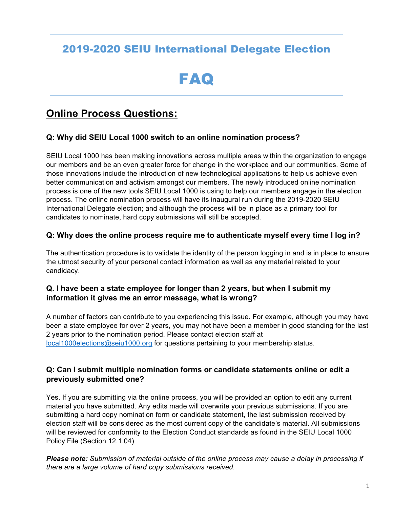# 2019-2020 SEIU International Delegate Election

# FAQ

# **Online Process Questions:**

#### **Q: Why did SEIU Local 1000 switch to an online nomination process?**

SEIU Local 1000 has been making innovations across multiple areas within the organization to engage our members and be an even greater force for change in the workplace and our communities. Some of those innovations include the introduction of new technological applications to help us achieve even better communication and activism amongst our members. The newly introduced online nomination process is one of the new tools SEIU Local 1000 is using to help our members engage in the election process. The online nomination process will have its inaugural run during the 2019-2020 SEIU International Delegate election; and although the process will be in place as a primary tool for candidates to nominate, hard copy submissions will still be accepted.

#### **Q: Why does the online process require me to authenticate myself every time I log in?**

The authentication procedure is to validate the identity of the person logging in and is in place to ensure the utmost security of your personal contact information as well as any material related to your candidacy.

#### **Q. I have been a state employee for longer than 2 years, but when I submit my information it gives me an error message, what is wrong?**

A number of factors can contribute to you experiencing this issue. For example, although you may have been a state employee for over 2 years, you may not have been a member in good standing for the last 2 years prior to the nomination period. Please contact election staff at local1000elections@seiu1000.org for questions pertaining to your membership status.

#### **Q: Can I submit multiple nomination forms or candidate statements online or edit a previously submitted one?**

Yes. If you are submitting via the online process, you will be provided an option to edit any current material you have submitted. Any edits made will overwrite your previous submissions. If you are submitting a hard copy nomination form or candidate statement, the last submission received by election staff will be considered as the most current copy of the candidate's material. All submissions will be reviewed for conformity to the Election Conduct standards as found in the SEIU Local 1000 Policy File (Section 12.1.04)

*Please note: Submission of material outside of the online process may cause a delay in processing if there are a large volume of hard copy submissions received.*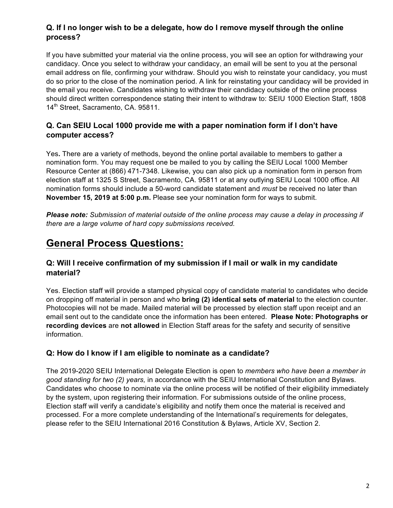## **Q. If I no longer wish to be a delegate, how do I remove myself through the online process?**

If you have submitted your material via the online process, you will see an option for withdrawing your candidacy. Once you select to withdraw your candidacy, an email will be sent to you at the personal email address on file, confirming your withdraw. Should you wish to reinstate your candidacy, you must do so prior to the close of the nomination period. A link for reinstating your candidacy will be provided in the email you receive. Candidates wishing to withdraw their candidacy outside of the online process should direct written correspondence stating their intent to withdraw to: SEIU 1000 Election Staff, 1808 14<sup>th</sup> Street, Sacramento, CA. 95811.

## **Q. Can SEIU Local 1000 provide me with a paper nomination form if I don't have computer access?**

Yes**.** There are a variety of methods, beyond the online portal available to members to gather a nomination form. You may request one be mailed to you by calling the SEIU Local 1000 Member Resource Center at (866) 471-7348. Likewise, you can also pick up a nomination form in person from election staff at 1325 S Street, Sacramento, CA. 95811 or at any outlying SEIU Local 1000 office. All nomination forms should include a 50-word candidate statement and *must* be received no later than **November 15, 2019 at 5:00 p.m.** Please see your nomination form for ways to submit.

*Please note: Submission of material outside of the online process may cause a delay in processing if there are a large volume of hard copy submissions received.*

# **General Process Questions:**

## **Q: Will I receive confirmation of my submission if I mail or walk in my candidate material?**

Yes. Election staff will provide a stamped physical copy of candidate material to candidates who decide on dropping off material in person and who **bring (2) identical sets of material** to the election counter. Photocopies will not be made. Mailed material will be processed by election staff upon receipt and an email sent out to the candidate once the information has been entered. **Please Note: Photographs or recording devices** are **not allowed** in Election Staff areas for the safety and security of sensitive information.

# **Q: How do I know if I am eligible to nominate as a candidate?**

The 2019-2020 SEIU International Delegate Election is open to *members who have been a member in good standing for two (2) years,* in accordance with the SEIU International Constitution and Bylaws. Candidates who choose to nominate via the online process will be notified of their eligibility immediately by the system, upon registering their information. For submissions outside of the online process, Election staff will verify a candidate's eligibility and notify them once the material is received and processed. For a more complete understanding of the International's requirements for delegates, please refer to the SEIU International 2016 Constitution & Bylaws, Article XV, Section 2.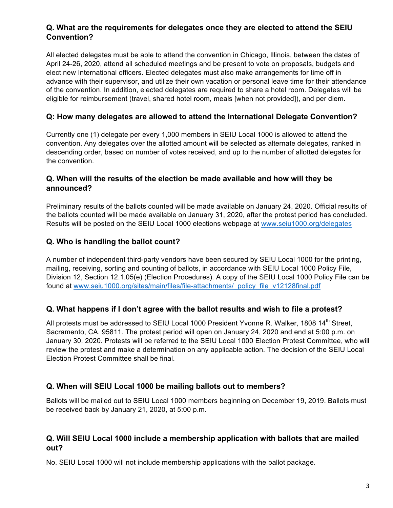## **Q. What are the requirements for delegates once they are elected to attend the SEIU Convention?**

All elected delegates must be able to attend the convention in Chicago, Illinois, between the dates of April 24-26, 2020, attend all scheduled meetings and be present to vote on proposals, budgets and elect new International officers. Elected delegates must also make arrangements for time off in advance with their supervisor, and utilize their own vacation or personal leave time for their attendance of the convention. In addition, elected delegates are required to share a hotel room. Delegates will be eligible for reimbursement (travel, shared hotel room, meals [when not provided]), and per diem.

## **Q: How many delegates are allowed to attend the International Delegate Convention?**

Currently one (1) delegate per every 1,000 members in SEIU Local 1000 is allowed to attend the convention. Any delegates over the allotted amount will be selected as alternate delegates, ranked in descending order, based on number of votes received, and up to the number of allotted delegates for the convention.

#### **Q. When will the results of the election be made available and how will they be announced?**

Preliminary results of the ballots counted will be made available on January 24, 2020. Official results of the ballots counted will be made available on January 31, 2020, after the protest period has concluded. Results will be posted on the SEIU Local 1000 elections webpage at www.seiu1000.org/delegates

## **Q. Who is handling the ballot count?**

A number of independent third-party vendors have been secured by SEIU Local 1000 for the printing, mailing, receiving, sorting and counting of ballots, in accordance with SEIU Local 1000 Policy File, Division 12, Section 12.1.05(e) (Election Procedures). A copy of the SEIU Local 1000 Policy File can be found at www.seiu1000.org/sites/main/files/file-attachments/\_policy\_file\_v12128final.pdf

#### **Q. What happens if I don't agree with the ballot results and wish to file a protest?**

All protests must be addressed to SEIU Local 1000 President Yvonne R. Walker, 1808 14<sup>th</sup> Street. Sacramento, CA. 95811. The protest period will open on January 24, 2020 and end at 5:00 p.m. on January 30, 2020. Protests will be referred to the SEIU Local 1000 Election Protest Committee, who will review the protest and make a determination on any applicable action. The decision of the SEIU Local Election Protest Committee shall be final.

#### **Q. When will SEIU Local 1000 be mailing ballots out to members?**

Ballots will be mailed out to SEIU Local 1000 members beginning on December 19, 2019. Ballots must be received back by January 21, 2020, at 5:00 p.m.

#### **Q. Will SEIU Local 1000 include a membership application with ballots that are mailed out?**

No. SEIU Local 1000 will not include membership applications with the ballot package.